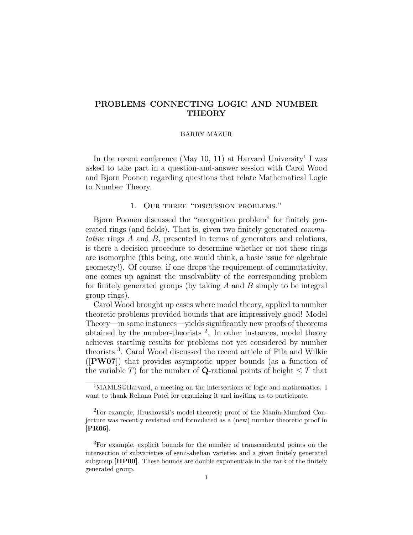# PROBLEMS CONNECTING LOGIC AND NUMBER **THEORY**

#### BARRY MAZUR

In the recent conference (May 10, 11) at Harvard University<sup>1</sup> I was asked to take part in a question-and-answer session with Carol Wood and Bjorn Poonen regarding questions that relate Mathematical Logic to Number Theory.

## 1. Our three "discussion problems."

Bjorn Poonen discussed the "recognition problem" for finitely generated rings (and fields). That is, given two finitely generated *commu*tative rings A and B, presented in terms of generators and relations, is there a decision procedure to determine whether or not these rings are isomorphic (this being, one would think, a basic issue for algebraic geometry!). Of course, if one drops the requirement of commutativity, one comes up against the unsolvablity of the corresponding problem for finitely generated groups (by taking  $A$  and  $B$  simply to be integral group rings).

Carol Wood brought up cases where model theory, applied to number theoretic problems provided bounds that are impressively good! Model Theory—in some instances—yields significantly new proofs of theorems obtained by the number-theorists  $2$ . In other instances, model theory achieves startling results for problems not yet considered by number theorists <sup>3</sup> . Carol Wood discussed the recent article of Pila and Wilkie ([PW07]) that provides asymptotic upper bounds (as a function of the variable T) for the number of **Q**-rational points of height  $\leq T$  that

<sup>&</sup>lt;sup>1</sup>MAMLS@Harvard, a meeting on the intersections of logic and mathematics. I want to thank Rehana Patel for organizing it and inviting us to participate.

<sup>&</sup>lt;sup>2</sup>For example, Hrushovski's model-theoretic proof of the Manin-Mumford Conjecture was recently revisited and formulated as a (new) number theoretic proof in [PR06].

<sup>3</sup>For example, explicit bounds for the number of transcendental points on the intersection of subvarieties of semi-abelian varieties and a given finitely generated subgroup [HP00]. These bounds are double exponentials in the rank of the finitely generated group.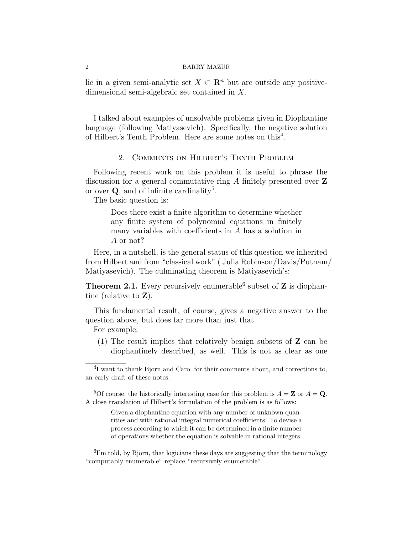lie in a given semi-analytic set  $X \subset \mathbb{R}^n$  but are outside any positivedimensional semi-algebraic set contained in X.

I talked about examples of unsolvable problems given in Diophantine language (following Matiyasevich). Specifically, the negative solution of Hilbert's Tenth Problem. Here are some notes on this<sup>4</sup>.

### 2. Comments on Hilbert's Tenth Problem

Following recent work on this problem it is useful to phrase the discussion for a general commutative ring A finitely presented over Z or over  $Q$ , and of infinite cardinality<sup>5</sup>.

The basic question is:

Does there exist a finite algorithm to determine whether any finite system of polynomial equations in finitely many variables with coefficients in A has a solution in A or not?

Here, in a nutshell, is the general status of this question we inherited from Hilbert and from "classical work" ( Julia Robinson/Davis/Putnam/ Matiyasevich). The culminating theorem is Matiyasevich's:

**Theorem 2.1.** Every recursively enumerable<sup>6</sup> subset of  $Z$  is diophantine (relative to Z).

This fundamental result, of course, gives a negative answer to the question above, but does far more than just that.

For example:

(1) The result implies that relatively benign subsets of Z can be diophantinely described, as well. This is not as clear as one

Given a diophantine equation with any number of unknown quantities and with rational integral numerical coefficients: To devise a process according to which it can be determined in a finite number of operations whether the equation is solvable in rational integers.

<sup>&</sup>lt;sup>4</sup>I want to thank Bjorn and Carol for their comments about, and corrections to, an early draft of these notes.

<sup>&</sup>lt;sup>5</sup>Of course, the historically interesting case for this problem is  $A = \mathbf{Z}$  or  $A = \mathbf{Q}$ . A close translation of Hilbert's formulation of the problem is as follows:

<sup>&</sup>lt;sup>6</sup>I'm told, by Bjorn, that logicians these days are suggesting that the terminology "computably enumerable" replace "recursively enumerable".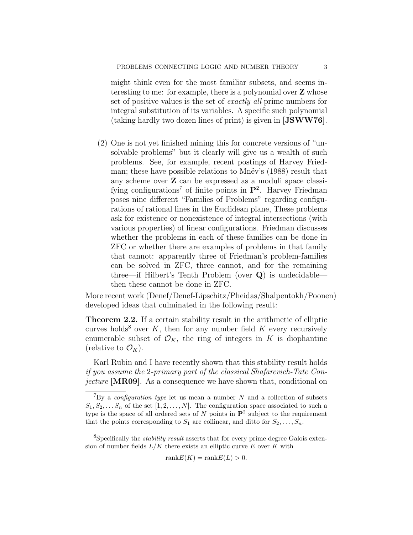might think even for the most familiar subsets, and seems interesting to me: for example, there is a polynomial over Z whose set of positive values is the set of exactly all prime numbers for integral substitution of its variables. A specific such polynomial (taking hardly two dozen lines of print) is given in [JSWW76].

(2) One is not yet finished mining this for concrete versions of "unsolvable problems" but it clearly will give us a wealth of such problems. See, for example, recent postings of Harvey Friedman; these have possible relations to Mnev's (1988) result that any scheme over Z can be expressed as a moduli space classifying configurations<sup>7</sup> of finite points in  $\mathbf{P}^2$ . Harvey Friedman poses nine different "Families of Problems" regarding configurations of rational lines in the Euclidean plane, These problems ask for existence or nonexistence of integral intersections (with various properties) of linear configurations. Friedman discusses whether the problems in each of these families can be done in ZFC or whether there are examples of problems in that family that cannot: apparently three of Friedman's problem-families can be solved in ZFC, three cannot, and for the remaining three—if Hilbert's Tenth Problem (over Q) is undecidable then these cannot be done in ZFC.

More recent work (Denef/Denef-Lipschitz/Pheidas/Shalpentokh/Poonen) developed ideas that culminated in the following result:

Theorem 2.2. If a certain stability result in the arithmetic of elliptic curves holds<sup>8</sup> over  $K$ , then for any number field  $K$  every recursively enumerable subset of  $\mathcal{O}_K$ , the ring of integers in K is diophantine (relative to  $\mathcal{O}_K$ ).

Karl Rubin and I have recently shown that this stability result holds if you assume the 2-primary part of the classical Shafarevich-Tate Conjecture [MR09]. As a consequence we have shown that, conditional on

rank $E(K) = \text{rank }E(L) > 0$ .

 ${}^{7}$ By a *configuration type* let us mean a number N and a collection of subsets  $S_1, S_2, \ldots, S_n$  of the set  $[1, 2, \ldots, N]$ . The configuration space associated to such a type is the space of all ordered sets of N points in  $\mathbf{P}^2$  subject to the requirement that the points corresponding to  $S_1$  are collinear, and ditto for  $S_2, \ldots, S_n$ .

<sup>&</sup>lt;sup>8</sup>Specifically the *stability result* asserts that for every prime degree Galois extension of number fields  $L/K$  there exists an elliptic curve E over K with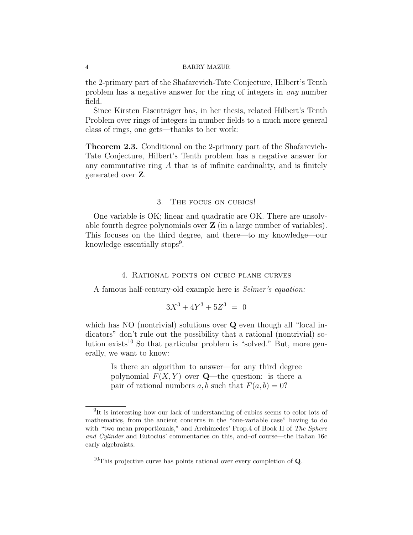the 2-primary part of the Shafarevich-Tate Conjecture, Hilbert's Tenth problem has a negative answer for the ring of integers in any number field.

Since Kirsten Eisenträger has, in her thesis, related Hilbert's Tenth Problem over rings of integers in number fields to a much more general class of rings, one gets—thanks to her work:

Theorem 2.3. Conditional on the 2-primary part of the Shafarevich-Tate Conjecture, Hilbert's Tenth problem has a negative answer for any commutative ring  $A$  that is of infinite cardinality, and is finitely generated over Z.

### 3. The focus on cubics!

One variable is OK; linear and quadratic are OK. There are unsolvable fourth degree polynomials over  $\mathbf Z$  (in a large number of variables). This focuses on the third degree, and there—to my knowledge—our knowledge essentially stops<sup>9</sup>.

### 4. Rational points on cubic plane curves

A famous half-century-old example here is Selmer's equation:

$$
3X^3 + 4Y^3 + 5Z^3 = 0
$$

which has NO (nontrivial) solutions over **Q** even though all "local indicators" don't rule out the possibility that a rational (nontrivial) solution exists<sup>10</sup> So that particular problem is "solved." But, more generally, we want to know:

> Is there an algorithm to answer—for any third degree polynomial  $F(X, Y)$  over **Q**—the question: is there a pair of rational numbers a, b such that  $F(a, b) = 0$ ?

 $10$ This projective curve has points rational over every completion of **Q**.

<sup>&</sup>lt;sup>9</sup>It is interesting how our lack of understanding of cubics seems to color lots of mathematics, from the ancient concerns in the "one-variable case" having to do with "two mean proportionals," and Archimedes' Prop.4 of Book II of The Sphere and Cylinder and Eutocius' commentaries on this, and–of course—the Italian 16c early algebraists.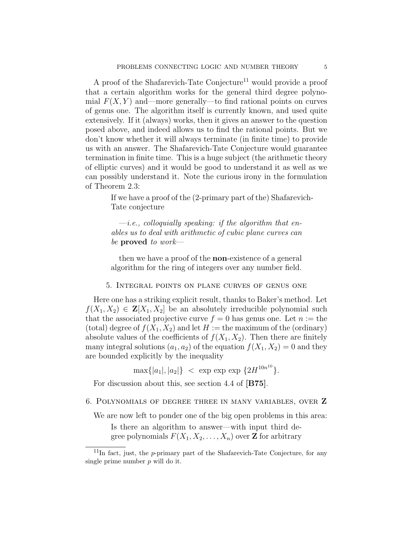A proof of the Shafarevich-Tate Conjecture<sup>11</sup> would provide a proof that a certain algorithm works for the general third degree polynomial  $F(X, Y)$  and—more generally—to find rational points on curves of genus one. The algorithm itself is currently known, and used quite extensively. If it (always) works, then it gives an answer to the question posed above, and indeed allows us to find the rational points. But we don't know whether it will always terminate (in finite time) to provide us with an answer. The Shafarevich-Tate Conjecture would guarantee termination in finite time. This is a huge subject (the arithmetic theory of elliptic curves) and it would be good to understand it as well as we can possibly understand it. Note the curious irony in the formulation of Theorem 2.3:

> If we have a proof of the (2-primary part of the) Shafarevich-Tate conjecture

 $-i.e.,\ colloquially\ speaking:$  if the algorithm that enables us to deal with arithmetic of cubic plane curves can be **proved** to work—

then we have a proof of the non-existence of a general algorithm for the ring of integers over any number field.

### 5. Integral points on plane curves of genus one

Here one has a striking explicit result, thanks to Baker's method. Let  $f(X_1, X_2) \in \mathbf{Z}[X_1, X_2]$  be an absolutely irreducible polynomial such that the associated projective curve  $f = 0$  has genus one. Let  $n :=$  the (total) degree of  $f(X_1, X_2)$  and let  $H :=$  the maximum of the (ordinary) absolute values of the coefficients of  $f(X_1, X_2)$ . Then there are finitely many integral solutions  $(a_1, a_2)$  of the equation  $f(X_1, X_2) = 0$  and they are bounded explicitly by the inequality

 $\max\{|a_1|,|a_2|\}$  < exp exp  $\{2H^{10n^{10}}\}.$ 

For discussion about this, see section 4.4 of [B75].

### 6. Polynomials of degree three in many variables, over Z

We are now left to ponder one of the big open problems in this area:

Is there an algorithm to answer—with input third degree polynomials  $F(X_1, X_2, \ldots, X_n)$  over **Z** for arbitrary

 $11$ In fact, just, the p-primary part of the Shafarevich-Tate Conjecture, for any single prime number  $p$  will do it.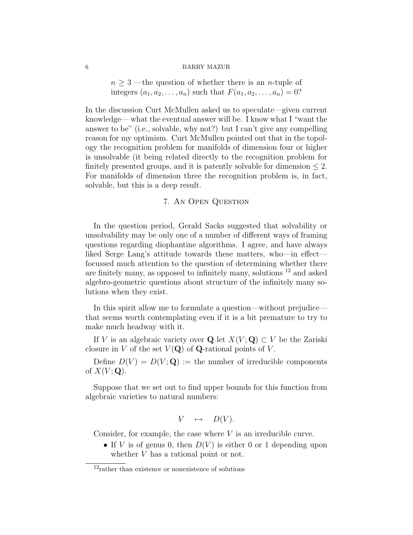$n \geq 3$  —the question of whether there is an *n*-tuple of integers  $(a_1, a_2, \ldots, a_n)$  such that  $F(a_1, a_2, \ldots, a_n) = 0$ ?

In the discussion Curt McMullen asked us to speculate—given current knowledge— what the eventual answer will be. I know what I "want the answer to be" (i.e., solvable, why not?) but I can't give any compelling reason for my optimism. Curt McMullen pointed out that in the topology the recognition problem for manifolds of dimension four or higher is unsolvable (it being related directly to the recognition problem for finitely presented groups, and it is patently solvable for dimension  $\leq 2$ . For manifolds of dimension three the recognition problem is, in fact, solvable, but this is a deep result.

### 7. An Open Question

In the question period, Gerald Sacks suggested that solvability or unsolvability may be only one of a number of different ways of framing questions regarding diophantine algorithms. I agree, and have always liked Serge Lang's attitude towards these matters, who—in effect focussed much attention to the question of determining whether there are finitely many, as opposed to infinitely many, solutions  $^{12}$  and asked algebro-geometric questions about structure of the infinitely many solutions when they exist.

In this spirit allow me to formulate a question—without prejudice that seems worth contemplating even if it is a bit premature to try to make much headway with it.

If V is an algebraic variety over Q let  $X(V; Q) \subset V$  be the Zariski closure in V of the set  $V(Q)$  of Q-rational points of V.

Define  $D(V) = D(V; \mathbf{Q}) :=$  the number of irreducible components of  $X(V; \mathbf{Q})$ .

Suppose that we set out to find upper bounds for this function from algebraic varieties to natural numbers:

$$
V \quad \mapsto \quad D(V).
$$

Consider, for example, the case where  $V$  is an irreducible curve.

• If V is of genus 0, then  $D(V)$  is either 0 or 1 depending upon whether V has a rational point or not.

 $12$ rather than existence or nonexistence of solutions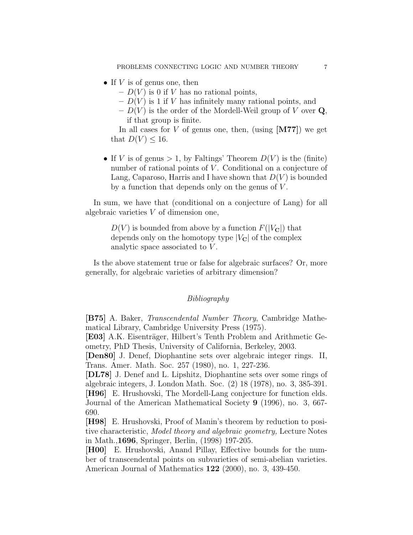- If  $V$  is of genus one, then
	- $D(V)$  is 0 if V has no rational points,
	- $D(V)$  is 1 if V has infinitely many rational points, and
	- $D(V)$  is the order of the Mordell-Weil group of V over Q, if that group is finite.

In all cases for  $V$  of genus one, then, (using  $[M77]$ ) we get that  $D(V) \leq 16$ .

• If V is of genus  $> 1$ , by Faltings' Theorem  $D(V)$  is the (finite) number of rational points of  $V$ . Conditional on a conjecture of Lang, Caparoso, Harris and I have shown that  $D(V)$  is bounded by a function that depends only on the genus of  $V$ .

In sum, we have that (conditional on a conjecture of Lang) for all algebraic varieties V of dimension one,

> $D(V)$  is bounded from above by a function  $F(|V_{\mathbf{C}}|)$  that depends only on the homotopy type  $|V_{\mathbf{C}}|$  of the complex analytic space associated to V.

Is the above statement true or false for algebraic surfaces? Or, more generally, for algebraic varieties of arbitrary dimension?

## Bibliography

[B75] A. Baker, Transcendental Number Theory, Cambridge Mathematical Library, Cambridge University Press (1975).

[E03] A.K. Eisenträger, Hilbert's Tenth Problem and Arithmetic Geometry, PhD Thesis, University of California, Berkeley, 2003.

[Den80] J. Denef, Diophantine sets over algebraic integer rings. II, Trans. Amer. Math. Soc. 257 (1980), no. 1, 227-236.

[DL78] J. Denef and L. Lipshitz, Diophantine sets over some rings of algebraic integers, J. London Math. Soc. (2) 18 (1978), no. 3, 385-391. [H96] E. Hrushovski, The Mordell-Lang conjecture for function elds. Journal of the American Mathematical Society 9 (1996), no. 3, 667- 690.

[H98] E. Hrushovski, Proof of Manin's theorem by reduction to positive characteristic, Model theory and algebraic geometry, Lecture Notes in Math.,1696, Springer, Berlin, (1998) 197-205.

[H00] E. Hrushovski, Anand Pillay, Effective bounds for the number of transcendental points on subvarieties of semi-abelian varieties. American Journal of Mathematics 122 (2000), no. 3, 439-450.